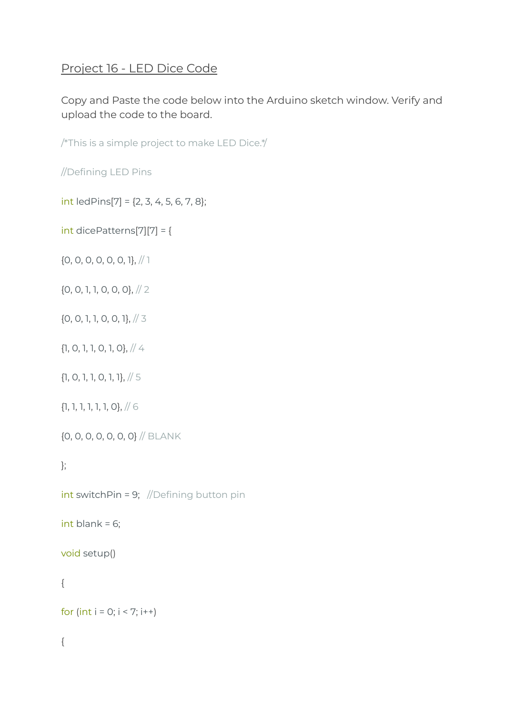## Project 16 - LED Dice Code

Copy and Paste the code below into the Arduino sketch window. Verify and upload the code to the board.

/\*This is a simple project to make LED Dice.\*/

//Defining LED Pins

 $int$  ledPins[7] = {2, 3, 4, 5, 6, 7, 8};

int dicePatterns[7][7] = {

{0, 0, 0, 0, 0, 0, 1}, // 1

{0, 0, 1, 1, 0, 0, 0}, // 2

{0, 0, 1, 1, 0, 0, 1}, // 3

{1, 0, 1, 1, 0, 1, 0}, // 4

{1, 0, 1, 1, 0, 1, 1}, // 5

{1, 1, 1, 1, 1, 1, 0}, // 6

{0, 0, 0, 0, 0, 0, 0} // BLANK

};

 $int$  switchPin = 9; //Defining button pin

int blank =  $6$ ;

void setup()

## {

for (int  $i = 0; i < 7; i++)$ 

## {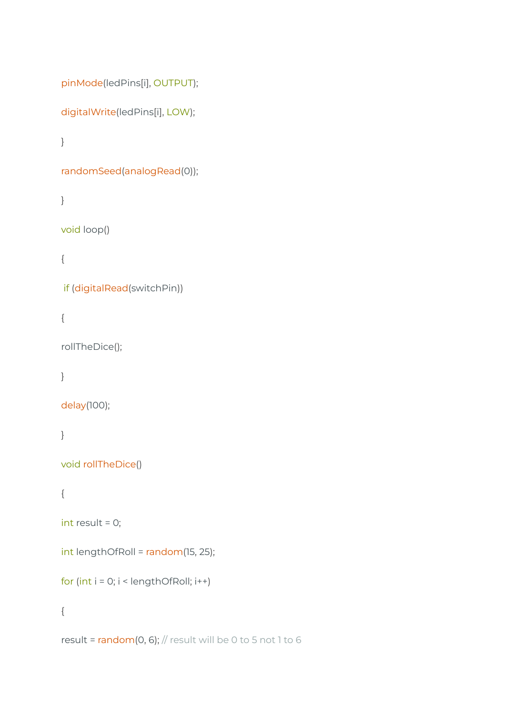```
pinMode(ledPins[i], OUTPUT);
```

```
digitalWrite(ledPins[i], LOW);
```

```
}
```

```
randomSeed(analogRead(0));
```

```
}
```

```
void loop()
```
{

```
if (digitalRead(switchPin))
```
{

```
rollTheDice();
```
}

```
delay(100);
```
}

```
void rollTheDice()
```

```
{
```

```
int result = 0;
```
int lengthOfRoll = random(15, 25);

for (int  $i = 0$ ;  $i <$  lengthOfRoll;  $i++)$ 

{

result =  $random(0, 6)$ ; // result will be 0 to 5 not 1 to 6